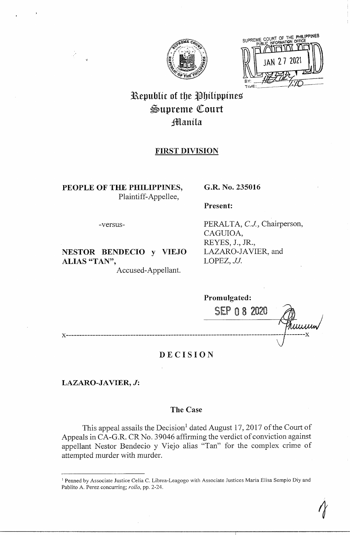

SUPREME COURT OF THE PHILIPPINES AN 27 2021

# Republic of the Philippines Supreme Court Jltlanila

# **FIRST DIVISION**

**PEOPLE OF THE PHILIPPINES,**  Plaintiff-Appellee,

# **G.R. No. 235016**

**Present:** 

-versus-

**NESTOR BENDECIO y VIEJO ALIAS "TAN",** 

Accused-Appellant.

PERALTA, C.J., Chairperson, CAGUIOA, REYES, J., JR., LAZARO-JAVIER, and LOPEZ, *JJ.* 

*1* 

**Promulgated:**  SEP O 8 2020 Tuurun **x--------------------------------------------------------------------------------- -------x** 

# **DECISION**

**LAZARO-JAVIER, J:** 

# **The Case**

This appeal assails the Decision<sup>1</sup> dated August 17, 2017 of the Court of Appeals in CA-G.R. CR No. 39046 affirming the verdict of conviction against appellant Nestor Bendecio y Viejo alias "Tan" for the complex crime of attempted murder with murder.

<sup>&</sup>lt;sup>1</sup> Penned by Associate Justice Celia C. Librea-Leagogo with Associate Justices Maria Elisa Sempio Diy and Pablito A. Perez concurring; *rollo,* pp. 2-24.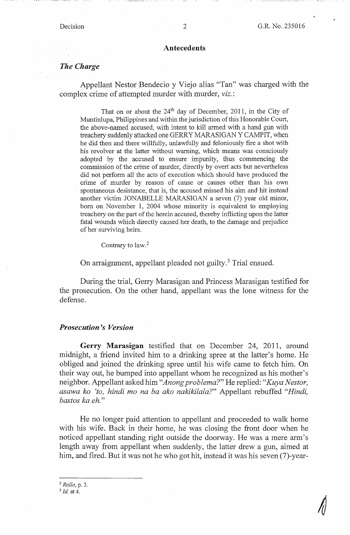#### **Antecedents**

# *The Charge*

Appellant Nestor Bendecio y Viejo alias "Tan" was charged with the complex crime of attempted murder with murder, viz.:

That on or about the  $24<sup>th</sup>$  day of December, 2011, in the City of Muntinlupa, Philippines and within the jurisdiction of this Honorable Court, the above-named accused, with intent to kill armed with a hand gun with treachery suddenly attacked one GERRY MARASIGAN Y CAMPIT, when he did then and there willfully, unlawfully and feloniously fire a shot with his revolver at the latter without warning, which means was consciously adopted by the accused to ensure impunity, thus commencing the commission of the crime of murder, directly by overt acts but nevertheless did not perform all the acts of execution which should have produced the crime of murder by reason of cause or causes other than his own spontaneous desistance, that is, the accused missed his aim and hit instead another victim JONABELLE MARASIGAN a seven (7) year old minor, born on November 1, 2004 whose minority is equivalent to employing treachery on the part of the herein accused, thereby inflicting upon the latter fatal wounds which directly caused her death, to the damage and prejudice of her surviving heirs.

Contrary to law.<sup>2</sup>

On arraignment, appellant pleaded not guilty.<sup>3</sup> Trial ensued.

During the trial, Gerry Marasigan and Princess Marasigan testified for the prosecution. On the other hand, appellant was the lone witness for the defense.

#### *Prosecution's Version*

**Gerry Marasigan** testified that on December 24, 2011, around midnight, a friend invited him to a drinking spree at the latter's home. He obliged and joined the drinking spree until his wife came to fetch him. On their way out, he bumped into appellant whom he recognized as his mother's neighbor. Appellant asked him *"Anong problema?"* He replied: *"Kuya Nestor, asawa ko 'to, hindi mo na ba ako nakikilala?"* Appellant rebuffed *"Hindi, bastos ka eh."* 

He no longer paid attention to appellant and proceeded to walk home with his wife. Back in their home, he was closing the front door when he noticed appellant standing right outside the doorway. He was a mere arm's length away from appellant when suddenly, the latter drew a gun, aimed at him, and fired. But it was not he who got hit, instead it was his seven (7)-year-

2 *Rollo,* p. 3.

<sup>3</sup> *Id.* at 4.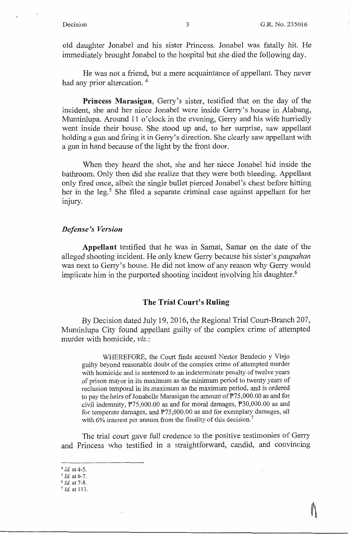old daughter Jonabel and his sister Princess. Jonabel was fatally hit. He immediately brought Jonabel to the hospital but she died the following day.

He was not a friend, but a mere acquaintance of appellant. They never had any prior altercation.<sup>4</sup>

**Princess Marasigan,** Gerry's sister, testified that on the day of the incident, she and her niece Jonabel were inside Gerry's house in Alabang, Muntinlupa. Around 11 o'clock in the evening, Gerry and his wife hurriedly went inside their house. She stood up and, to her surprise, saw appellant holding a gun and firing it in Gerry's direction. She clearly saw.appellant with a gun in hand because of the light by the front door.

When they heard the shot, she and her niece Jonabel hid inside the bathroom. Only then did she realize that they were both bleeding. Appellant only fired once, albeit the single bullet pierced Jonabel's chest before hitting her in the leg.<sup>5</sup> She filed a separate criminal case against appellant for her  $\lim_{\text{unary.}}$ 

### *Defense's Version*

**Appellant** testified that he was in Samat, Samar on the date of the alleged shooting incident. He only knew Gerry because his sister's *paupahan*  was next to Gerry's house. He did not know of any reason why Gerry would implicate him in the purported shooting incident involving his daughter.<sup>6</sup>

### **The Trial Court's Ruling**

By Decision dated July 19, 2016, the Regional Trial Court-Branch 207, Muntinlupa City found appellant guilty of the complex crime of attempted murder with homicide; *viz.:* 

WHEREFORE, the Court finds accused Nestor Bendecio y Viejo guilty beyond reasonable doubt of the complex crime of attempted murder with homicide and is sentenced to an indeterminate penalty of twelve years of prison mayor in its maximum as the minimum period to twenty years of reclusion temporal in its maximum as the maximum period, and is ordered to pay the heirs of Jonabelle Marasigan the amount of P75,000.00 as and for civil indemnity, P75,000.00 as and for moral damages, P30,000.00 as and for temperate damages, and  $P75,000.00$  as and for exemplary damages, all with 6% interest per annum from the finality of this decision.<sup>7</sup>

The trial court gave full credence to the positive testimonies of Gerry and Princess who testified in a straightforward, candid, and convincing

 $\sim 10^{-1}$  .

<sup>4</sup>*Id* at 4-5.

<sup>5</sup>*Id.* at 6-7.

<sup>6</sup> *Id.* at 7-8.

 $7$  *Id.* at 113.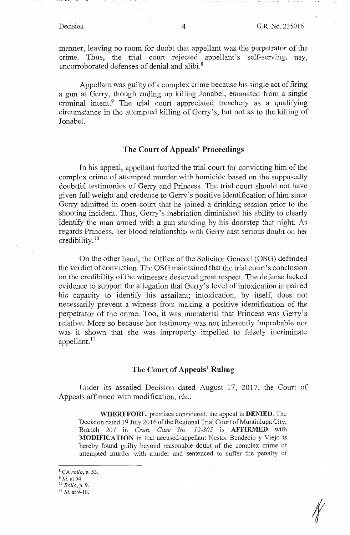manner, leaving no room for doubt that appellant was the perpetrator of the crime. Thus, the trial court rejected appellant's self-serving, nay, uncorroborated defenses of denial and alibi. 8

Appellant was guilty of a complex crime because his single act of firing a gun at Gerry, though ending up killing Jonabel, emanated from a single criminal intent.<sup>9</sup> The trial court appreciated treachery as a qualifying circumstance in the attempted killing of Gerry's, but not as to the killing of Jonabel.

# **The Court of Appeals' Proceedings**

In his appeal, appellant faulted the trial court for convicting him of the complex crime of attempted murder with homicide based on the supposedly doubtful testimonies of Gerry and Princess. The trial court should not have given full weight and credence to Gerry's positive identification of him since Gerry admitted in open court that he joined a drinking session prior to the shooting incident. Thus, Gerry's inebriation diminished his ability to clearly identify the man armed with a gun standing by his doorstep that night. As regards Princess, her blood relationship with Gerry cast serious doubt on her credibility. <sup>10</sup>

On the other hand, the Office of the Solicitor General (OSG) defended the verdict of conviction. The OSG maintained that the trial court's conclusion on the credibility of the witnesses deserved great respect. The defense lacked evidence to support the allegation that Gerry's level of intoxication impaired his capacity to identify his assailant; intoxication, by itself, does not necessarily prevent a witness from making a positive identification of the perpetrator of the crime. Too, it was immaterial that Princess was Gerry's relative. More so because her testimony was not inherently improbable nor was it shown that she was improperly impelled to falsely incriminate appellant.<sup>11</sup>

# **The Court of Appeals' Ruling**

Under its assailed Decision dated August 17, 2017, the Court of Appeals affirmed with modification, *viz.:* 

**WHEREFORE,** premises considered, the appeal is **DENIED.** The Decision dated 19 July 2016 of the Regional Trial Court of Muntinlupa City, Branch 207 in *Crim. Case No. 12-305* is **AFFIRMED** with **MODIFICATION** in that accused-appellant Nestor Bendecio y Viejo is hereby found guilty beyond reasonable doubt of the complex crime of attempted murder with murder and sentenced to suffer the penalty of

<sup>8</sup>CA *rollo,* p. 53.

<sup>9</sup>*Id.* at 54.· 10 *Rollo,* p. 9. 11 *Id.* at 9-10.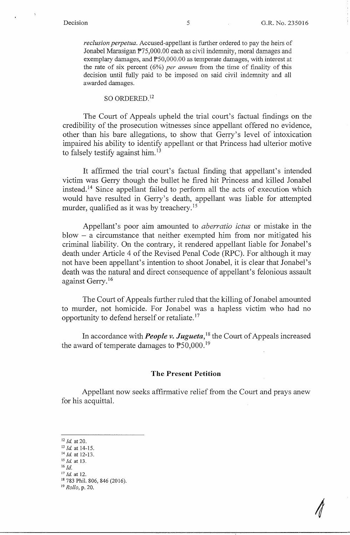*reclusion perpetua.* Accused-appellant is further ordered to pay the heirs of Jonabel Marasigan P75,000.00 each as civil indemnity, moral damages and exemplary damages, and  $P50,000.00$  as temperate damages, with interest at the rate of six percent  $(6%)$  *per annum* from the time of finality of this decision until fully paid to be imposed on said civil indemnity and all awarded damages.

### SO ORDERED.<sup>12</sup>

The Court of Appeals upheld the trial court's factual findings on the credibility of the prosecution witnesses since appellant offered no evidence, other than his bare allegations, to show that Gerry's level of intoxication impaired his ability to identify appellant or that Princess had ulterior motive to falsely testify against him.<sup>13</sup>

It affirmed the trial court's factual finding that appellant's intended victim was Gerry though the bullet he fired hit Princess and killed Jonabel instead.<sup>14</sup> Since appellant failed to perform all the acts of execution which would have resulted in Gerry's death, appellant was liable for attempted murder, qualified as it was by treachery.<sup>15</sup>

Appellant's poor aim amounted to *aberratio ictus* or mistake in the blow - a circumstance that neither exempted him from nor mitigated his criminal liability. On the contrary, it rendered appellant liable for Jonabel's death under Article 4 of the Revised Penal Code (RPC). For although it may not have been appellant's intention to shoot Jonabel, it is clear that Jonabel's death was the natural and direct consequence of appellant's felonious assault against Gerry. 16

The Court of Appeals further ruled that the killing of Jonabel amounted to murder, not homicide. For Jonabel was a hapless victim who had no opportunity to defend herself or retaliate. <sup>17</sup>

In accordance with *People v. Jugueta*,<sup>18</sup> the Court of Appeals increased the award of temperate damages to  $\text{\textdegree}50,000$ .<sup>19</sup>

### **The Present Petition**

Appellant now seeks affirmative relief from the Court and prays anew for his acquittal.

<sup>12</sup>*Id.* at 20.

<sup>16</sup> *Id.* <sup>17</sup> *Id.* at 12.

<sup>13</sup> *Id.* at 14-15.

<sup>14</sup>*Id* at 12-13. 15 *Id* at 13.

<sup>&</sup>lt;sup>18</sup> 783 Phil. 806, 846 (2016).

<sup>19</sup> *Rollo,* p. 20.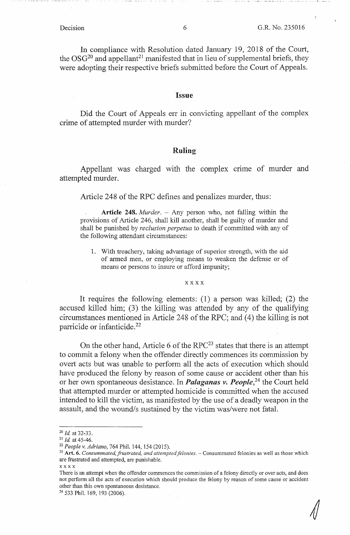In compliance with Resolution dated January 19, 2018 of the Court, the  $OSG<sup>20</sup>$  and appellant<sup>21</sup> manifested that in lieu of supplemental briefs, they were adopting their respective briefs submitted before the Court of Appeals.

### Issue

Did the Court of Appeals err in convicting appellant of the complex crime of attempted murder with murder?

### **Ruling**

Appellant was charged with the complex crime of murder and attempted murder.

Article 248 of the RPC defines and penalizes murder, thus:

**Article 248.** *Murder.* - Any person who, not falling within the provisions of Article 246, shall kill another, shall be guilty of murder and shall be punished by *reclusion perpetua* to death if committed with any of the following attendant circumstances:

1. With treachery, taking advantage of superior strength, with the aid of armed men, or employing means to weaken the defense or of means or persons to insure or afford impunity;

### **xxxx**

It requires the following elements: (1) a person was killed; (2) the accused killed him; (3) the killing was attended by any of the qualifying circumstances mentioned in Article 248 of the RPC; and (4) the killing is not parricide or infanticide. 22

On the other hand, Article 6 of the  $RPC^{23}$  states that there is an attempt to commit a felony when the offender directly commences its commission by overt acts but was unable to perform all the acts of execution which should have produced the felony by reason of some cause or accident other than his or her own spontaneous desistance. In *Palaganas v. People*,<sup>24</sup> the Court held that attempted murder or attempted homicide is committed when the accused intended to kill the victim, as manifested by the use of a deadly weapon in the assault, and the wound/s sustained by the victim was/were not fatal.

<sup>24</sup> 533 Phil. 169, 193 (2006).

<sup>20</sup>*Id* at 32-33. 21 *Id* at 45-46.

<sup>&</sup>lt;sup>22</sup> People v. Adriano, 764 Phil. 144, 154 (2015).<br><sup>23</sup> Art. 6. *Consummated, frustrated, and attempted felonies*. – Consummated felonies as well as those which are frustrated and attempted, are punishable.

xxxx

There is an attempt when the offender commences the commission of a felony directly or over acts, and does not perform all the acts of execution which should produce the felony by reason of some cause or accident other than this own spontaneous desistance.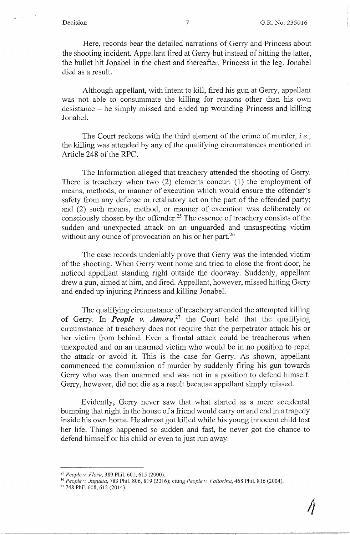$\mathcal{L}_{\mathcal{A}}$ 

Here, records bear the detailed narrations of Gerry and Princess about the shooting incident. Appellant fired at Gerry but instead of hitting the latter, the bullet hit Jonabel in the chest and thereafter, Princess in the leg. Jonabel died as a result.

Although appellant, with intent to kill, fired his gun at Gerry, appellant was not able to consummate the killing for reasons other than his own desistance - he simply missed and ended up wounding Princess and killing Jonabel.

The Court reckons with the third element of the crime of murder, *i.e.,*  the killing was attended by any of the qualifying circumstances mentioned in Article 248 of the RPC.

The Information alleged that treachery attended the shooting of Gerry. There is treachery when two (2) elements concur: (1) the employment of means, methods, or manner of execution which would ensure the offender's safety from any defense or retaliatory act on the part of the offended party; and (2) such means, method, or manner of execution was deliberately or consciously chosen by the offender.25 The essence of treachery consists of the sudden and unexpected attack on an unguarded and unsuspecting victim without any ounce of provocation on his or her part.<sup>26</sup>

The case records undeniably prove that Gerry was the intended victim of the shooting. When Gerry went home and tried to close the front door, he noticed appellant standing right outside the doorway. Suddenly, appellant drew a gun, aimed at him, and fired. Appellant, however, missed hitting Gerry and ended up injuring Princess and killing Jonabel.

The qualifying circumstance of treachery attended the attempted killing of Gerry. In *People v. Amora*,<sup>27</sup> the Court held that the qualifying circumstance of treachery does not require that the perpetrator attack his or her victim from behind. Even a frontal attack could be treacherous when unexpected and on an unarmed victim who would be in no position to repel the attack or avoid it. This is the case for Gerry. As shown, appellant commenced the commission of murder by suddenly firing his gun towards Gerry who was then unarmed and was not in a position to defend himself. Gerry, however, did not die as a result because appellant simply missed.

Evidently, Gerry never saw that what started as a mere accidental bumping that night in the house of a friend would carry on and end in a tragedy inside his own home. He almost got killed while his young innocent child lost her life. Things happened so sudden and fast, he never got the chance to defend himself or his child or even to just run away.

<sup>&</sup>lt;sup>25</sup> People v. Flora, 389 Phil. 601, 615 (2000).<br><sup>26</sup> People v. Jugueta, 783 Phil. 806, 819 (2016); citing *People v. Fallorina*, 468 Phil. 816 (2004).<br><sup>27</sup> 748 Phil. 608, 612 (2014).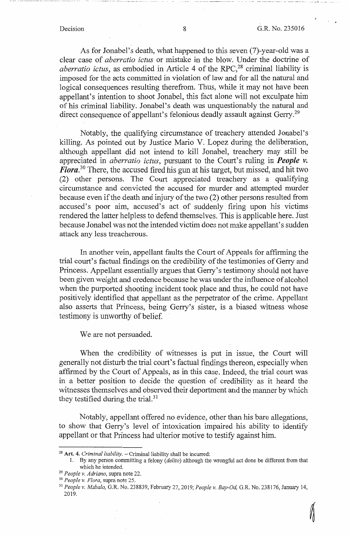$\ldots$  -- $\ldots$ 

 $\mathbb{R}^2$ 

As for Jonabel's death, what happened to this seven (7)-year-old was a clear case of *aberratio ictus* or mistake in the blow. Under the doctrine of *aberratio ictus*, as embodied in Article 4 of the RPC,<sup>28</sup> criminal liability is imposed for the acts committed in violation of law and for all the natural and logical consequences resulting therefrom. Thus, while it may not have been appellant's intention to shoot Jonabel, this fact alone will not exculpate him of his criminal liability. Jonabel's death was unquestionably the natural and direct consequence of appellant's felonious deadly assault against Gerry.<sup>29</sup>

Notably, the qualifying circumstance of treachery attended Jonabel's killing. As pointed out by Justice Mario V. Lopez during the deliberation, although appellant did not intend to kill Jonabel, treachery may still be appreciated in *aberratio ictus,* pursuant to the Court's ruling in *People v. Flora. <sup>30</sup>*There, the accused fired his gun at his target, but missed, and hit two (2) other persons. The Court appreciated treachery as a qualifying circumstance and convicted the accused for murder and attempted murder because even if the death and injury of the two (2) other persons resulted from accused's poor aim, accused's act of suddenly firing upon his victims rendered the latter helpless to defend themselves. This is applicable here. Just because Jonabel was not the intended victim does not make appellant's sudden attack any less treacherous.

In another vein, appellant faults the Court of Appeals for affirming the trial court's factual findings on the credibility of the testimonies of Gerry and Princess. Appellant essentially argues that Gerry's testimony should not have been given weight and credence because he was under the influence of alcohol when the purported shooting incident took place and thus, he could not have positively identified that appellant as the perpetrator of the crime. Appellant also asserts that Princess, being Gerry's sister, is a biased witness whose testimony is unworthy of belief.

We are not persuaded.

When the credibility of witnesses is put in issue, the Court will generally not disturb the trial court's factual findings thereon, especially when affirmed by the Court of Appeals, as in this case. Indeed, the trial court was in a better position to decide the question of credibility as it heard the witnesses themselves and observed their deportment and the manner by which they testified during the trial.<sup>31</sup>

Notably, appellant offered no evidence, other than his bare allegations, to show that Gerry's level of intoxication impaired his ability to identify appellant or that Princess had ulterior motive to testify against him.

<sup>&</sup>lt;sup>28</sup> Art. 4. *Criminal liability*. - Criminal liability shall be incurred:

<sup>1.</sup> By any person committing a felony ( *delito)* although the wrongful act done be different from that which he intended.<br><sup>29</sup> *People v. Adriano*, supra note 22.<br><sup>30</sup> *People v. Flora*, supra note 25.<br><sup>31</sup> *People v. Mabalo*, G.R. No. 238839, February 27, 2019; *People v. Bay-Od*, G.R. No. 238176, January 14,

<sup>2019.</sup>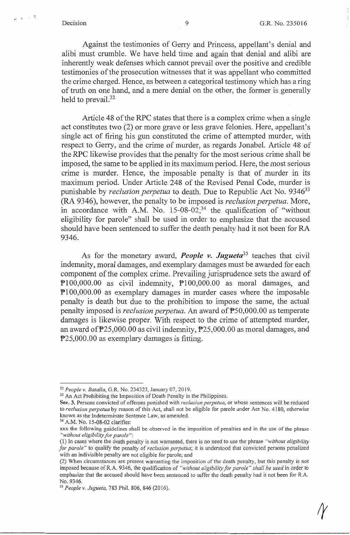$z = x - x - z$ 

Against the testimonies of Geny and Princess, appellant's denial and alibi must crumble. We have held time and again that denial and alibi are inherently weak defenses which cannot prevail over the positive and credible testimonies of the prosecution witnesses that it was appellant who committed the crime charged. Hence, as between a categorical testimony which has a ring of truth on one hand, and a mere denial on the other, the former is generally held to prevail.<sup>32</sup>

Article 48 of the RPC states that there is a complex crime when a single act constitutes two (2) or more grave or less grave felonies. Here, appellant's single act of firing his gun constituted the crime of attempted murder, with respect to Gerry, and the crime of murder, as regards Jonabel. Article 48 of the RPC likewise provides that the penalty for the most serious crime shall be imposed, the same to be applied in its maximum period. Here, the most serious crime is murder. Hence, the imposable penalty is that of murder in its maximum period. Under Article 248 of the Revised Penal Code, murder is punishable by *reclusion perpetua* to death. Due to Republic Act No. 9346<sup>33</sup> (RA 9346), however, the penalty to be imposed is *reclusion perpetua.* More, in accordance with A.M. No.  $15{\text -}08{\text -}02^{34}$ , the qualification of "without" eligibility for parole" shall be used in order to emphasize that the accused should have been sentenced to suffer the death penalty had it not been for RA 9346.

As for the monetary award, *People v. Jugueta35* teaches that civil indemnity, moral damages, and exemplary damages must be awarded for each component of the complex crime. Prevailing jurisprudence sets the award of  $P100,000.00$  as civil indemnity,  $P100,000.00$  as moral damages, and PI00,000.00 as exemplary damages in murder cases where the imposable penalty is death but due to the prohibition to impose the same, the actual penalty imposed is *reclusion perpetua*. An award of  $\overline{P}50,000.00$  as temperate damages is likewise proper. With respect to the crime of attempted murder, an award of P25,000.00 as civil indemnity, P25,000.00 as moral damages, and P25,000.00 as exemplary damages is fitting.

<sup>&</sup>lt;sup>32</sup> People v. Batalla, G.R. No. 234323, January 07, 2019.<br><sup>33</sup> An Act Prohibiting the Imposition of Death Penalty in the Philippines.

**Sec. 3.** Persons convicted of offenses punished with *reclusion perpetua,* or whose sentences will be reduced to *reclusion perpetua* by reason of this Act, shall not be eligible for parole under Act No. 4180, otherwise known as the Indeterminate Sentence Law, as amended.<br><sup>34</sup> A.M. No. 15-08-02 clarifies:

xxx the following guidelines shall be observed in the imposition of penalties and in the use of the phrase *"without eligibility for parole":* 

<sup>(</sup>I) In cases where the death penalty is not warranted, there is no need to use the phrase *''without eligibility for parole"* to qualify the penalty of *reclusion perpetua;* it is understood that convicted persons penalized with an indivisible penalty are not eligible for parole; and

<sup>(2)</sup> When circumstances are present warranting the imposition of the death penalty, but this penalty is not imposed because ofR.A. 9346, the qualification of *"without eligibility for parole" shall be used* in order to emphasize that the accused should have been sentenced to suffer the death penalty had it not been for R.A. No. 9346. 35 *People v. Jugueta,* 783 Phil. 806, 846 (2016).